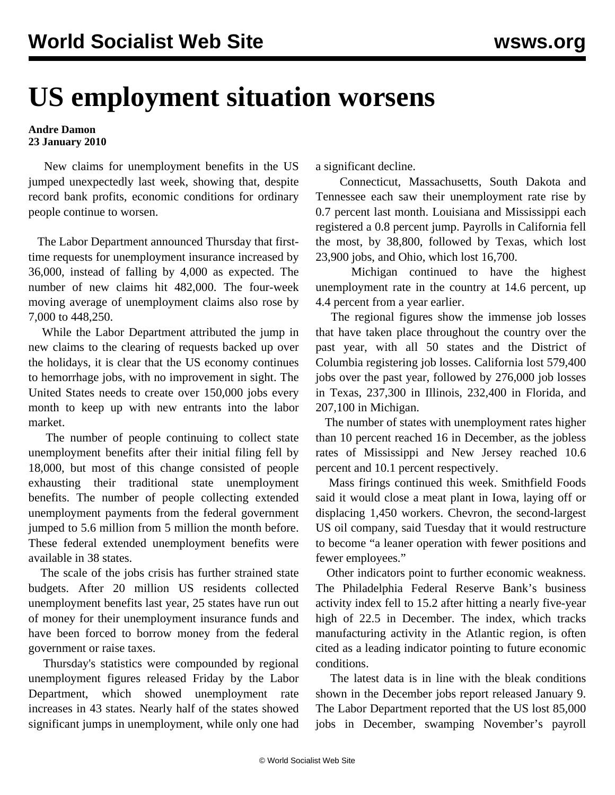## **US employment situation worsens**

## **Andre Damon 23 January 2010**

 New claims for unemployment benefits in the US jumped unexpectedly last week, showing that, despite record bank profits, economic conditions for ordinary people continue to worsen.

 The Labor Department announced Thursday that firsttime requests for unemployment insurance increased by 36,000, instead of falling by 4,000 as expected. The number of new claims hit 482,000. The four-week moving average of unemployment claims also rose by 7,000 to 448,250.

 While the Labor Department attributed the jump in new claims to the clearing of requests backed up over the holidays, it is clear that the US economy continues to hemorrhage jobs, with no improvement in sight. The United States needs to create over 150,000 jobs every month to keep up with new entrants into the labor market.

 The number of people continuing to collect state unemployment benefits after their initial filing fell by 18,000, but most of this change consisted of people exhausting their traditional state unemployment benefits. The number of people collecting extended unemployment payments from the federal government jumped to 5.6 million from 5 million the month before. These federal extended unemployment benefits were available in 38 states.

 The scale of the jobs crisis has further strained state budgets. After 20 million US residents collected unemployment benefits last year, 25 states have run out of money for their unemployment insurance funds and have been forced to borrow money from the federal government or raise taxes.

 Thursday's statistics were compounded by regional unemployment figures released Friday by the Labor Department, which showed unemployment rate increases in 43 states. Nearly half of the states showed significant jumps in unemployment, while only one had

a significant decline.

 Connecticut, Massachusetts, South Dakota and Tennessee each saw their unemployment rate rise by 0.7 percent last month. Louisiana and Mississippi each registered a 0.8 percent jump. Payrolls in California fell the most, by 38,800, followed by Texas, which lost 23,900 jobs, and Ohio, which lost 16,700.

 Michigan continued to have the highest unemployment rate in the country at 14.6 percent, up 4.4 percent from a year earlier.

 The regional figures show the immense job losses that have taken place throughout the country over the past year, with all 50 states and the District of Columbia registering job losses. California lost 579,400 jobs over the past year, followed by 276,000 job losses in Texas, 237,300 in Illinois, 232,400 in Florida, and 207,100 in Michigan.

 The number of states with unemployment rates higher than 10 percent reached 16 in December, as the jobless rates of Mississippi and New Jersey reached 10.6 percent and 10.1 percent respectively.

 Mass firings continued this week. Smithfield Foods said it would close a meat plant in Iowa, laying off or displacing 1,450 workers. Chevron, the second-largest US oil company, said Tuesday that it would restructure to become "a leaner operation with fewer positions and fewer employees."

 Other indicators point to further economic weakness. The Philadelphia Federal Reserve Bank's business activity index fell to 15.2 after hitting a nearly five-year high of 22.5 in December. The index, which tracks manufacturing activity in the Atlantic region, is often cited as a leading indicator pointing to future economic conditions.

 The latest data is in line with the bleak conditions shown in the December jobs report released January 9. The Labor Department reported that the US lost 85,000 jobs in December, swamping November's payroll